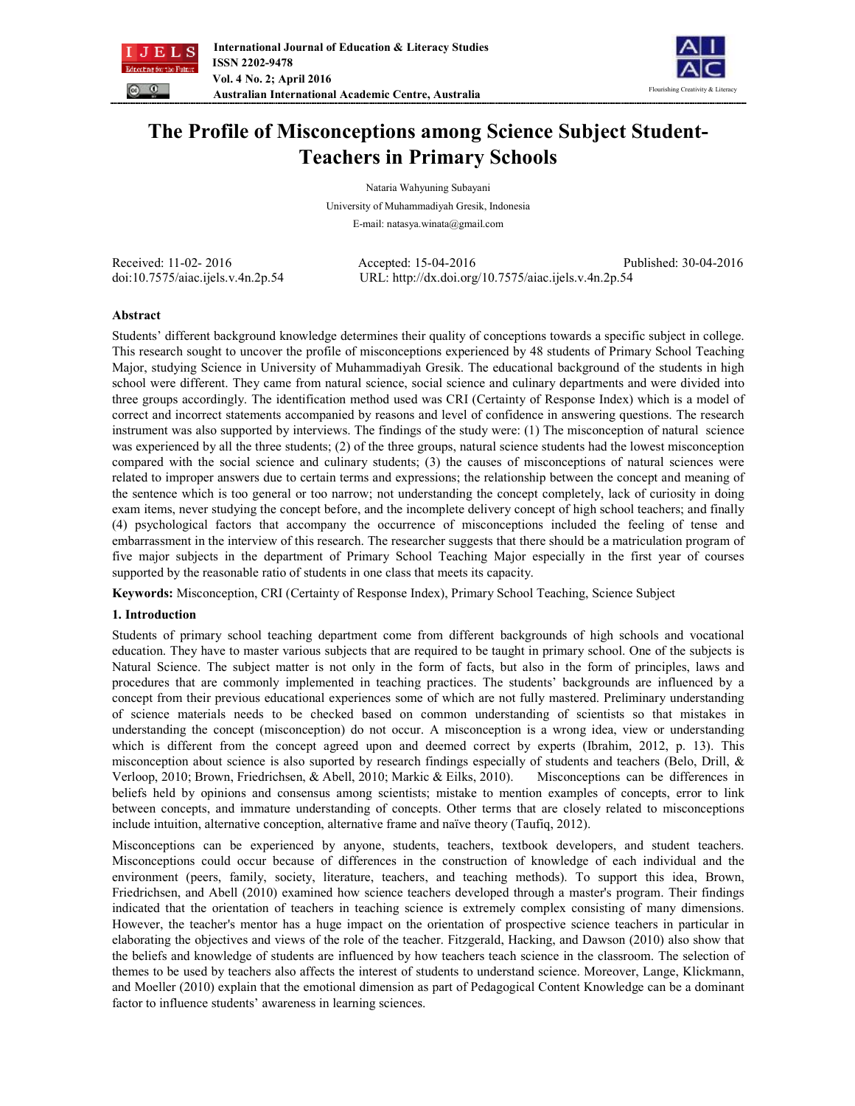



# **The Profile of Misconceptions among Science Subject Student-Teachers in Primary Schools**

Nataria Wahyuning Subayani University of Muhammadiyah Gresik, Indonesia

E-mail: natasya.winata@gmail.com

Received: 11-02- 2016 Accepted: 15-04-2016 Published: 30-04-2016 doi:10.7575/aiac.ijels.v.4n.2p.54 URL: http://dx.doi.org/10.7575/aiac.ijels.v.4n.2p.54

## **Abstract**

Students' different background knowledge determines their quality of conceptions towards a specific subject in college. This research sought to uncover the profile of misconceptions experienced by 48 students of Primary School Teaching Major, studying Science in University of Muhammadiyah Gresik. The educational background of the students in high school were different. They came from natural science, social science and culinary departments and were divided into three groups accordingly. The identification method used was CRI (Certainty of Response Index) which is a model of correct and incorrect statements accompanied by reasons and level of confidence in answering questions. The research instrument was also supported by interviews. The findings of the study were: (1) The misconception of natural science was experienced by all the three students; (2) of the three groups, natural science students had the lowest misconception compared with the social science and culinary students; (3) the causes of misconceptions of natural sciences were related to improper answers due to certain terms and expressions; the relationship between the concept and meaning of the sentence which is too general or too narrow; not understanding the concept completely, lack of curiosity in doing exam items, never studying the concept before, and the incomplete delivery concept of high school teachers; and finally (4) psychological factors that accompany the occurrence of misconceptions included the feeling of tense and embarrassment in the interview of this research. The researcher suggests that there should be a matriculation program of five major subjects in the department of Primary School Teaching Major especially in the first year of courses supported by the reasonable ratio of students in one class that meets its capacity.

**Keywords:** Misconception, CRI (Certainty of Response Index), Primary School Teaching, Science Subject

## **1. Introduction**

Students of primary school teaching department come from different backgrounds of high schools and vocational education. They have to master various subjects that are required to be taught in primary school. One of the subjects is Natural Science. The subject matter is not only in the form of facts, but also in the form of principles, laws and procedures that are commonly implemented in teaching practices. The students' backgrounds are influenced by a concept from their previous educational experiences some of which are not fully mastered. Preliminary understanding of science materials needs to be checked based on common understanding of scientists so that mistakes in understanding the concept (misconception) do not occur. A misconception is a wrong idea, view or understanding which is different from the concept agreed upon and deemed correct by experts (Ibrahim, 2012, p. 13). This misconception about science is also suported by research findings especially of students and teachers (Belo, Drill, & Verloop, 2010; Brown, Friedrichsen, & Abell, 2010; Markic & Eilks, 2010). Misconceptions can be differences in beliefs held by opinions and consensus among scientists; mistake to mention examples of concepts, error to link between concepts, and immature understanding of concepts. Other terms that are closely related to misconceptions include intuition, alternative conception, alternative frame and naïve theory (Taufiq, 2012).

Misconceptions can be experienced by anyone, students, teachers, textbook developers, and student teachers. Misconceptions could occur because of differences in the construction of knowledge of each individual and the environment (peers, family, society, literature, teachers, and teaching methods). To support this idea, Brown, Friedrichsen, and Abell (2010) examined how science teachers developed through a master's program. Their findings indicated that the orientation of teachers in teaching science is extremely complex consisting of many dimensions. However, the teacher's mentor has a huge impact on the orientation of prospective science teachers in particular in elaborating the objectives and views of the role of the teacher. Fitzgerald, Hacking, and Dawson (2010) also show that the beliefs and knowledge of students are influenced by how teachers teach science in the classroom. The selection of themes to be used by teachers also affects the interest of students to understand science. Moreover, Lange, Klickmann, and Moeller (2010) explain that the emotional dimension as part of Pedagogical Content Knowledge can be a dominant factor to influence students' awareness in learning sciences.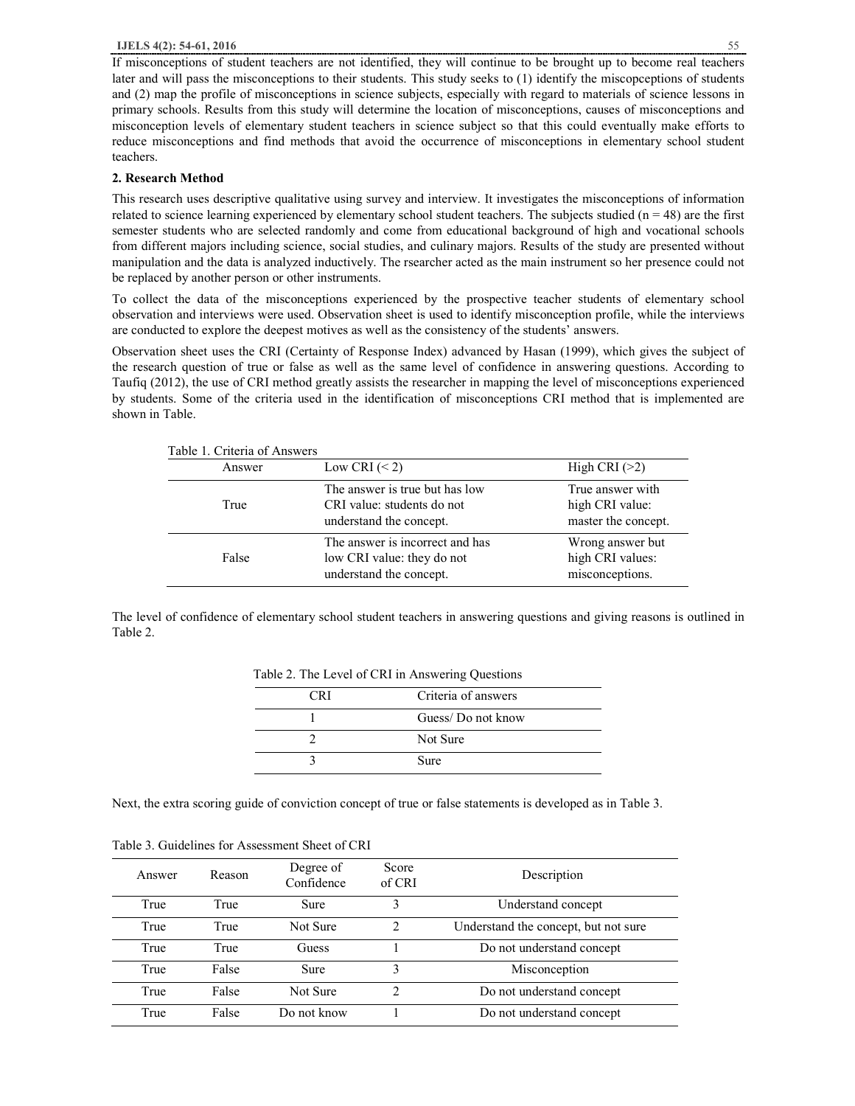If misconceptions of student teachers are not identified, they will continue to be brought up to become real teachers later and will pass the misconceptions to their students. This study seeks to (1) identify the miscopceptions of students and (2) map the profile of misconceptions in science subjects, especially with regard to materials of science lessons in primary schools. Results from this study will determine the location of misconceptions, causes of misconceptions and misconception levels of elementary student teachers in science subject so that this could eventually make efforts to reduce misconceptions and find methods that avoid the occurrence of misconceptions in elementary school student teachers.

#### **2. Research Method**

This research uses descriptive qualitative using survey and interview. It investigates the misconceptions of information related to science learning experienced by elementary school student teachers. The subjects studied  $(n = 48)$  are the first semester students who are selected randomly and come from educational background of high and vocational schools from different majors including science, social studies, and culinary majors. Results of the study are presented without manipulation and the data is analyzed inductively. The rsearcher acted as the main instrument so her presence could not be replaced by another person or other instruments.

To collect the data of the misconceptions experienced by the prospective teacher students of elementary school observation and interviews were used. Observation sheet is used to identify misconception profile, while the interviews are conducted to explore the deepest motives as well as the consistency of the students' answers.

Observation sheet uses the CRI (Certainty of Response Index) advanced by Hasan (1999), which gives the subject of the research question of true or false as well as the same level of confidence in answering questions. According to Taufiq (2012), the use of CRI method greatly assists the researcher in mapping the level of misconceptions experienced by students. Some of the criteria used in the identification of misconceptions CRI method that is implemented are shown in Table.

| Table 1. Criteria of Answers |                                                                                          |                                                            |
|------------------------------|------------------------------------------------------------------------------------------|------------------------------------------------------------|
| Answer                       | Low CRI $(< 2)$                                                                          | High CRI $(>2)$                                            |
| True                         | The answer is true but has low<br>CRI value: students do not<br>understand the concept.  | True answer with<br>high CRI value:<br>master the concept. |
| False                        | The answer is incorrect and has<br>low CRI value: they do not<br>understand the concept. | Wrong answer but<br>high CRI values:<br>misconceptions.    |

The level of confidence of elementary school student teachers in answering questions and giving reasons is outlined in Table 2.

| <b>CRI</b> | Criteria of answers |
|------------|---------------------|
|            | Guess/Do not know   |
|            | Not Sure            |
|            | Sure                |

Table 2. The Level of CRI in Answering Questions

Next, the extra scoring guide of conviction concept of true or false statements is developed as in Table 3.

|  |  | Table 3. Guidelines for Assessment Sheet of CRI |  |
|--|--|-------------------------------------------------|--|
|--|--|-------------------------------------------------|--|

| Answer | Reason | Degree of<br>Confidence | Score<br>of CRI | Description                          |
|--------|--------|-------------------------|-----------------|--------------------------------------|
| True   | True   | <b>Sure</b>             | 3               | Understand concept                   |
| True   | True   | Not Sure                | $\mathfrak{D}$  | Understand the concept, but not sure |
| True   | True   | Guess                   |                 | Do not understand concept            |
| True   | False  | <b>Sure</b>             | 3               | Misconception                        |
| True   | False  | Not Sure                | っ               | Do not understand concept            |
| True   | False  | Do not know             |                 | Do not understand concept            |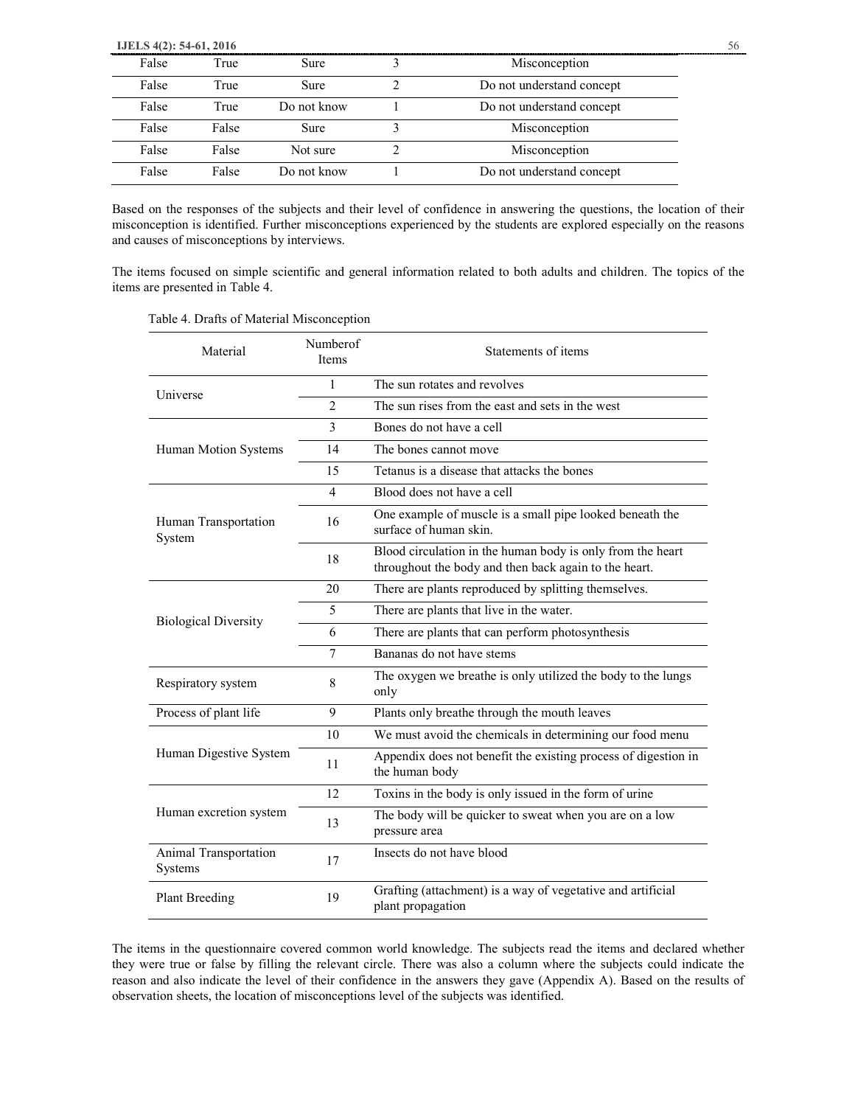**IJELS 4(2): 54-61, 2016** 56

| False | True  | <b>Sure</b> | Misconception             |
|-------|-------|-------------|---------------------------|
| False | True  | <b>Sure</b> | Do not understand concept |
| False | True  | Do not know | Do not understand concept |
| False | False | <b>Sure</b> | Misconception             |
| False | False | Not sure    | Misconception             |
| False | False | Do not know | Do not understand concept |

Based on the responses of the subjects and their level of confidence in answering the questions, the location of their misconception is identified. Further misconceptions experienced by the students are explored especially on the reasons and causes of misconceptions by interviews.

The items focused on simple scientific and general information related to both adults and children. The topics of the items are presented in Table 4.

| Material                                | Numberof<br><b>Items</b> | Statements of items                                                                                                 |  |  |
|-----------------------------------------|--------------------------|---------------------------------------------------------------------------------------------------------------------|--|--|
| Universe                                | $\mathbf{1}$             | The sun rotates and revolves                                                                                        |  |  |
|                                         | $\overline{\mathcal{L}}$ | The sun rises from the east and sets in the west                                                                    |  |  |
|                                         | 3                        | Bones do not have a cell                                                                                            |  |  |
| Human Motion Systems                    | 14                       | The bones cannot move                                                                                               |  |  |
|                                         | 15                       | Tetanus is a disease that attacks the bones                                                                         |  |  |
|                                         | 4                        | Blood does not have a cell                                                                                          |  |  |
| Human Transportation<br>System          | 16                       | One example of muscle is a small pipe looked beneath the<br>surface of human skin.                                  |  |  |
|                                         | 18                       | Blood circulation in the human body is only from the heart<br>throughout the body and then back again to the heart. |  |  |
|                                         | 20                       | There are plants reproduced by splitting themselves.                                                                |  |  |
| <b>Biological Diversity</b>             | 5                        | There are plants that live in the water.                                                                            |  |  |
|                                         | 6                        | There are plants that can perform photosynthesis                                                                    |  |  |
|                                         | 7                        | Bananas do not have stems                                                                                           |  |  |
| Respiratory system                      | 8                        | The oxygen we breathe is only utilized the body to the lungs<br>only                                                |  |  |
| Process of plant life                   | 9                        | Plants only breathe through the mouth leaves                                                                        |  |  |
|                                         | 10                       | We must avoid the chemicals in determining our food menu                                                            |  |  |
| Human Digestive System                  | 11                       | Appendix does not benefit the existing process of digestion in<br>the human body                                    |  |  |
|                                         | 12                       | Toxins in the body is only issued in the form of urine                                                              |  |  |
| Human excretion system                  | 13                       | The body will be quicker to sweat when you are on a low<br>pressure area                                            |  |  |
| Animal Transportation<br><b>Systems</b> | 17                       | Insects do not have blood                                                                                           |  |  |
| <b>Plant Breeding</b>                   | 19                       | Grafting (attachment) is a way of vegetative and artificial<br>plant propagation                                    |  |  |

Table 4. Drafts of Material Misconception

The items in the questionnaire covered common world knowledge. The subjects read the items and declared whether they were true or false by filling the relevant circle. There was also a column where the subjects could indicate the reason and also indicate the level of their confidence in the answers they gave (Appendix A). Based on the results of observation sheets, the location of misconceptions level of the subjects was identified.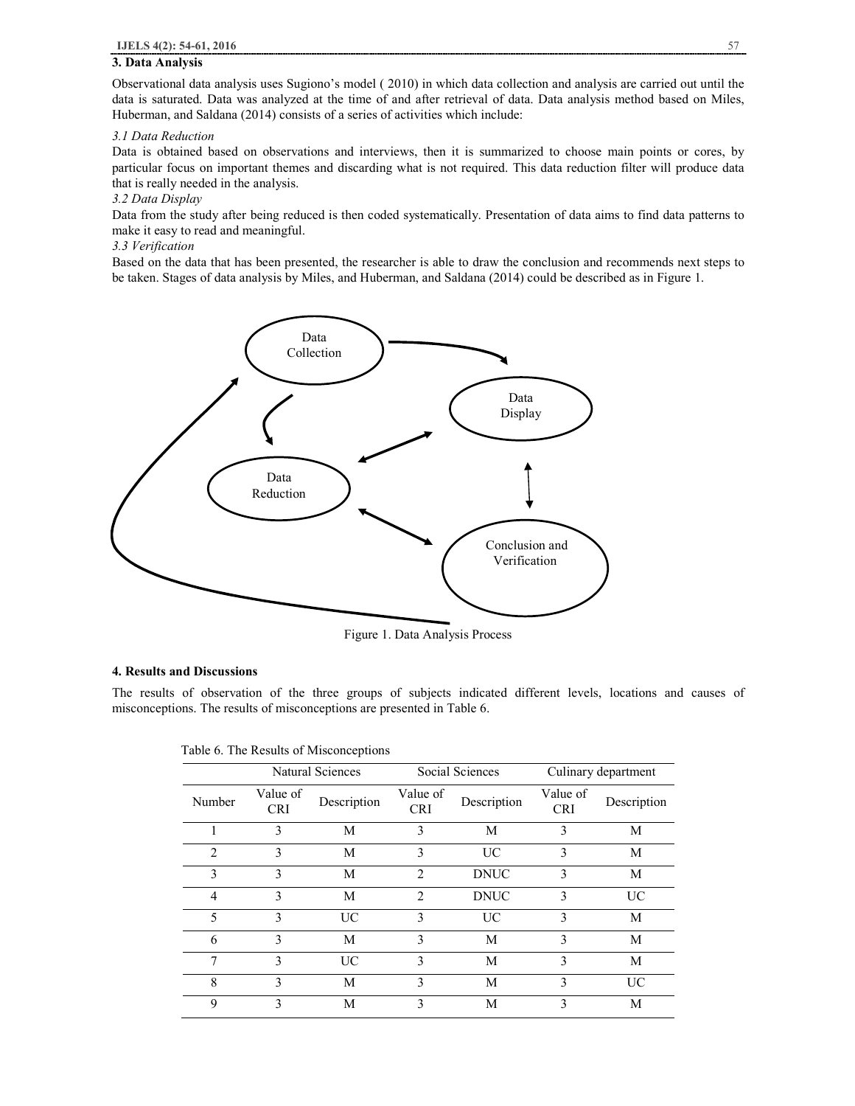## **3. Data Analysis**

Observational data analysis uses Sugiono's model ( 2010) in which data collection and analysis are carried out until the data is saturated. Data was analyzed at the time of and after retrieval of data. Data analysis method based on Miles, Huberman, and Saldana (2014) consists of a series of activities which include:

## *3.1 Data Reduction*

Data is obtained based on observations and interviews, then it is summarized to choose main points or cores, by particular focus on important themes and discarding what is not required. This data reduction filter will produce data that is really needed in the analysis.

## *3.2 Data Display*

Data from the study after being reduced is then coded systematically. Presentation of data aims to find data patterns to make it easy to read and meaningful.

#### *3.3 Verification*

Based on the data that has been presented, the researcher is able to draw the conclusion and recommends next steps to be taken. Stages of data analysis by Miles, and Huberman, and Saldana (2014) could be described as in Figure 1.



Figure 1. Data Analysis Process

#### **4. Results and Discussions**

The results of observation of the three groups of subjects indicated different levels, locations and causes of misconceptions. The results of misconceptions are presented in Table 6.

|                |                        | Natural Sciences |                        | Social Sciences |                        | Culinary department |
|----------------|------------------------|------------------|------------------------|-----------------|------------------------|---------------------|
| Number         | Value of<br><b>CRI</b> | Description      | Value of<br><b>CRI</b> | Description     | Value of<br><b>CRI</b> | Description         |
| 1              | 3                      | M                | 3                      | M               | 3                      | M                   |
| $\overline{2}$ | 3                      | M                | 3                      | UC              | 3                      | M                   |
| 3              | 3                      | М                | $\overline{2}$         | <b>DNUC</b>     | 3                      | М                   |
| $\overline{4}$ | 3                      | M                | $\overline{2}$         | <b>DNUC</b>     | 3                      | UC                  |
| 5              | 3                      | <b>UC</b>        | 3                      | <b>UC</b>       | 3                      | M                   |
| 6              | 3                      | M                | 3                      | M               | 3                      | M                   |
| 7              | $\mathcal{E}$          | UC               | 3                      | M               | 3                      | M                   |
| 8              | 3                      | М                | 3                      | M               | 3                      | UC                  |
| 9              | 3                      | М                | 3                      | М               | 3                      | М                   |

| Table 6. The Results of Misconceptions |
|----------------------------------------|
|----------------------------------------|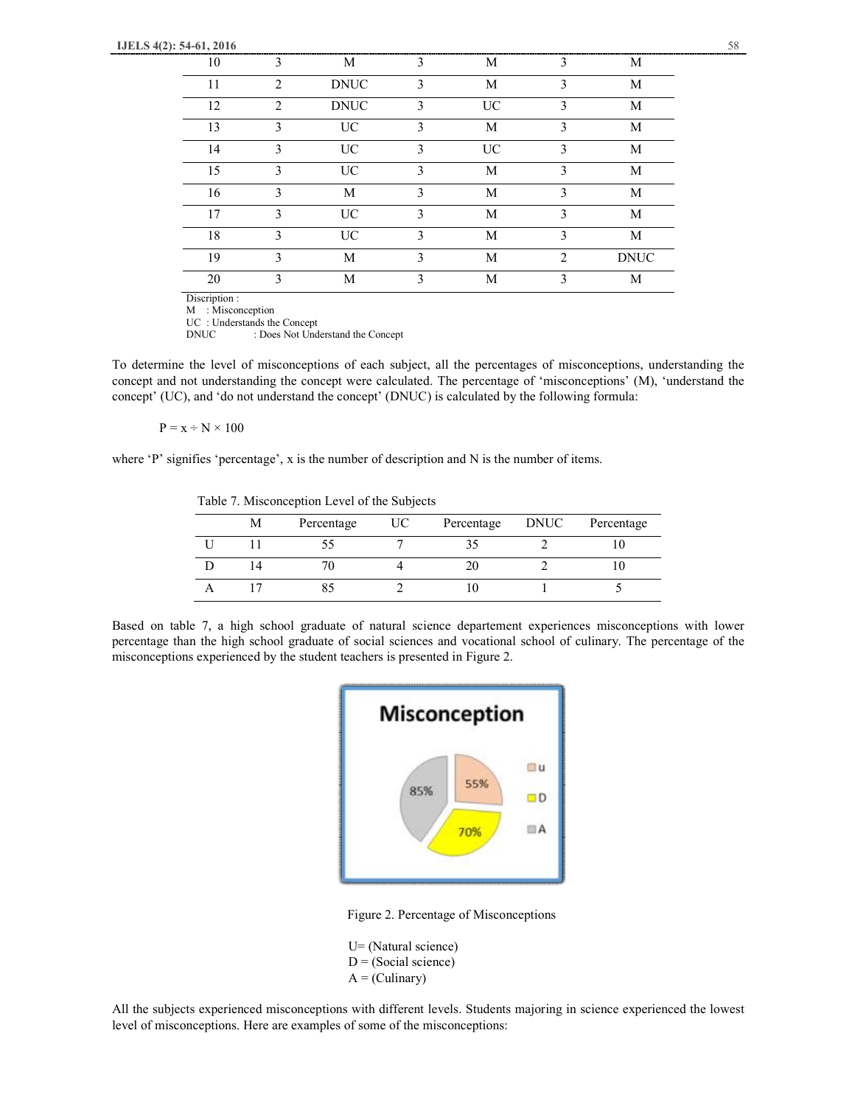| 10 |                | M           |   | М         |                | М           |
|----|----------------|-------------|---|-----------|----------------|-------------|
| 11 | $\mathfrak{D}$ | <b>DNUC</b> | 3 | M         | 3              | M           |
| 12 | $\mathcal{D}$  | <b>DNUC</b> | 3 | <b>UC</b> | 3              | M           |
| 13 | 3              | <b>UC</b>   | 3 | M         | 3              | M           |
| 14 | $\mathbf{3}$   | <b>UC</b>   | 3 | <b>UC</b> | 3              | M           |
| 15 | 3              | <b>UC</b>   | 3 | M         | 3              | M           |
| 16 | $\mathbf{3}$   | M           | 3 | M         | 3              | M           |
| 17 | $\mathcal{E}$  | <b>UC</b>   | 3 | M         | 3              | M           |
| 18 | $\mathbf{3}$   | <b>UC</b>   | 3 | M         | 3              | M           |
| 19 | 3              | M           | 3 | M         | $\mathfrak{D}$ | <b>DNUC</b> |
| 20 | ٦              | M           | 3 | М         | 3              | М           |

Discription :

M : Misconception

UC : Understands the Concept DNUC : Does Not Understand the Concept

To determine the level of misconceptions of each subject, all the percentages of misconceptions, understanding the concept and not understanding the concept were calculated. The percentage of 'misconceptions' (M), 'understand the concept' (UC), and 'do not understand the concept' (DNUC) is calculated by the following formula:

 $P = x \div N \times 100$ 

where 'P' signifies 'percentage', x is the number of description and N is the number of items.

Table 7. Misconception Level of the Subjects

| Μ  | Percentage | UC. | Percentage | DNUC | Percentage |
|----|------------|-----|------------|------|------------|
|    |            |     |            |      |            |
| 14 | ΙU         |     |            |      |            |
|    |            |     |            |      |            |

Based on table 7, a high school graduate of natural science departement experiences misconceptions with lower percentage than the high school graduate of social sciences and vocational school of culinary. The percentage of the misconceptions experienced by the student teachers is presented in Figure 2.



Figure 2. Percentage of Misconceptions

U= (Natural science)  $D = (Social science)$  $A = (Culinary)$ 

All the subjects experienced misconceptions with different levels. Students majoring in science experienced the lowest level of misconceptions. Here are examples of some of the misconceptions: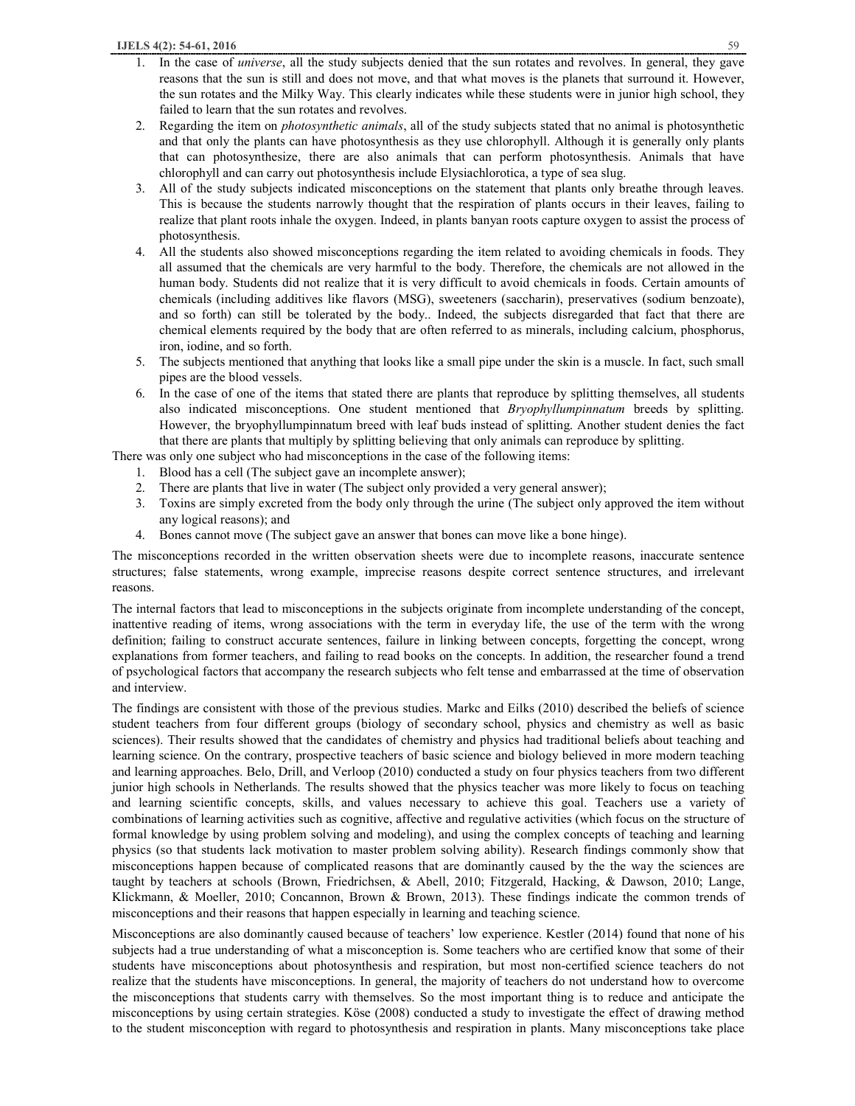- 1. In the case of *universe*, all the study subjects denied that the sun rotates and revolves. In general, they gave reasons that the sun is still and does not move, and that what moves is the planets that surround it. However, the sun rotates and the Milky Way. This clearly indicates while these students were in junior high school, they failed to learn that the sun rotates and revolves.
- 2. Regarding the item on *photosynthetic animals*, all of the study subjects stated that no animal is photosynthetic and that only the plants can have photosynthesis as they use chlorophyll. Although it is generally only plants that can photosynthesize, there are also animals that can perform photosynthesis. Animals that have chlorophyll and can carry out photosynthesis include Elysiachlorotica, a type of sea slug.
- 3. All of the study subjects indicated misconceptions on the statement that plants only breathe through leaves. This is because the students narrowly thought that the respiration of plants occurs in their leaves, failing to realize that plant roots inhale the oxygen. Indeed, in plants banyan roots capture oxygen to assist the process of photosynthesis.
- 4. All the students also showed misconceptions regarding the item related to avoiding chemicals in foods. They all assumed that the chemicals are very harmful to the body. Therefore, the chemicals are not allowed in the human body. Students did not realize that it is very difficult to avoid chemicals in foods. Certain amounts of chemicals (including additives like flavors (MSG), sweeteners (saccharin), preservatives (sodium benzoate), and so forth) can still be tolerated by the body.. Indeed, the subjects disregarded that fact that there are chemical elements required by the body that are often referred to as minerals, including calcium, phosphorus, iron, iodine, and so forth.
- 5. The subjects mentioned that anything that looks like a small pipe under the skin is a muscle. In fact, such small pipes are the blood vessels.
- 6. In the case of one of the items that stated there are plants that reproduce by splitting themselves, all students also indicated misconceptions. One student mentioned that *Bryophyllumpinnatum* breeds by splitting. However, the bryophyllumpinnatum breed with leaf buds instead of splitting. Another student denies the fact that there are plants that multiply by splitting believing that only animals can reproduce by splitting.

There was only one subject who had misconceptions in the case of the following items:

- 1. Blood has a cell (The subject gave an incomplete answer);
- 2. There are plants that live in water (The subject only provided a very general answer);
- 3. Toxins are simply excreted from the body only through the urine (The subject only approved the item without any logical reasons); and
- 4. Bones cannot move (The subject gave an answer that bones can move like a bone hinge).

The misconceptions recorded in the written observation sheets were due to incomplete reasons, inaccurate sentence structures; false statements, wrong example, imprecise reasons despite correct sentence structures, and irrelevant reasons.

The internal factors that lead to misconceptions in the subjects originate from incomplete understanding of the concept, inattentive reading of items, wrong associations with the term in everyday life, the use of the term with the wrong definition; failing to construct accurate sentences, failure in linking between concepts, forgetting the concept, wrong explanations from former teachers, and failing to read books on the concepts. In addition, the researcher found a trend of psychological factors that accompany the research subjects who felt tense and embarrassed at the time of observation and interview.

The findings are consistent with those of the previous studies. Markc and Eilks (2010) described the beliefs of science student teachers from four different groups (biology of secondary school, physics and chemistry as well as basic sciences). Their results showed that the candidates of chemistry and physics had traditional beliefs about teaching and learning science. On the contrary, prospective teachers of basic science and biology believed in more modern teaching and learning approaches. Belo, Drill, and Verloop (2010) conducted a study on four physics teachers from two different junior high schools in Netherlands. The results showed that the physics teacher was more likely to focus on teaching and learning scientific concepts, skills, and values necessary to achieve this goal. Teachers use a variety of combinations of learning activities such as cognitive, affective and regulative activities (which focus on the structure of formal knowledge by using problem solving and modeling), and using the complex concepts of teaching and learning physics (so that students lack motivation to master problem solving ability). Research findings commonly show that misconceptions happen because of complicated reasons that are dominantly caused by the the way the sciences are taught by teachers at schools (Brown, Friedrichsen, & Abell, 2010; Fitzgerald, Hacking, & Dawson, 2010; Lange, Klickmann, & Moeller, 2010; Concannon, Brown & Brown, 2013). These findings indicate the common trends of misconceptions and their reasons that happen especially in learning and teaching science.

Misconceptions are also dominantly caused because of teachers' low experience. Kestler (2014) found that none of his subjects had a true understanding of what a misconception is. Some teachers who are certified know that some of their students have misconceptions about photosynthesis and respiration, but most non-certified science teachers do not realize that the students have misconceptions. In general, the majority of teachers do not understand how to overcome the misconceptions that students carry with themselves. So the most important thing is to reduce and anticipate the misconceptions by using certain strategies. Köse (2008) conducted a study to investigate the effect of drawing method to the student misconception with regard to photosynthesis and respiration in plants. Many misconceptions take place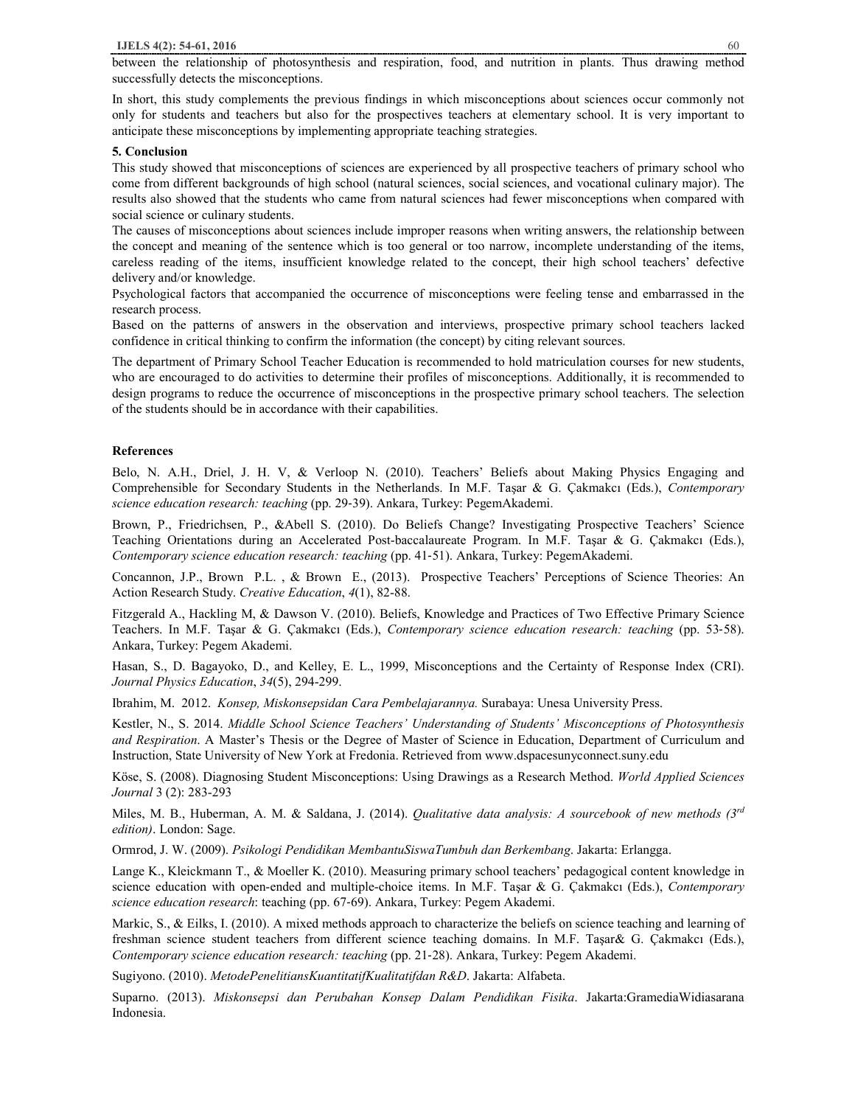between the relationship of photosynthesis and respiration, food, and nutrition in plants. Thus drawing method successfully detects the misconceptions.

In short, this study complements the previous findings in which misconceptions about sciences occur commonly not only for students and teachers but also for the prospectives teachers at elementary school. It is very important to anticipate these misconceptions by implementing appropriate teaching strategies.

## **5. Conclusion**

This study showed that misconceptions of sciences are experienced by all prospective teachers of primary school who come from different backgrounds of high school (natural sciences, social sciences, and vocational culinary major). The results also showed that the students who came from natural sciences had fewer misconceptions when compared with social science or culinary students.

The causes of misconceptions about sciences include improper reasons when writing answers, the relationship between the concept and meaning of the sentence which is too general or too narrow, incomplete understanding of the items, careless reading of the items, insufficient knowledge related to the concept, their high school teachers' defective delivery and/or knowledge.

Psychological factors that accompanied the occurrence of misconceptions were feeling tense and embarrassed in the research process.

Based on the patterns of answers in the observation and interviews, prospective primary school teachers lacked confidence in critical thinking to confirm the information (the concept) by citing relevant sources.

The department of Primary School Teacher Education is recommended to hold matriculation courses for new students, who are encouraged to do activities to determine their profiles of misconceptions. Additionally, it is recommended to design programs to reduce the occurrence of misconceptions in the prospective primary school teachers. The selection of the students should be in accordance with their capabilities.

## **References**

Belo, N. A.H., Driel, J. H. V, & Verloop N. (2010). Teachers' Beliefs about Making Physics Engaging and Comprehensible for Secondary Students in the Netherlands. In M.F. Taşar & G. Çakmakcı (Eds.), *Contemporary science education research: teaching* (pp. 29‐39). Ankara, Turkey: PegemAkademi.

Brown, P., Friedrichsen, P., &Abell S. (2010). Do Beliefs Change? Investigating Prospective Teachers' Science Teaching Orientations during an Accelerated Post-baccalaureate Program. In M.F. Taşar & G. Çakmakcı (Eds.), *Contemporary science education research: teaching* (pp. 41‐51). Ankara, Turkey: PegemAkademi.

Concannon, J.P., Brown P.L. , & Brown E., (2013). Prospective Teachers' Perceptions of Science Theories: An Action Research Study. *Creative Education*, *4*(1), 82-88.

Fitzgerald A., Hackling M, & Dawson V. (2010). Beliefs, Knowledge and Practices of Two Effective Primary Science Teachers. In M.F. Taşar & G. Çakmakcı (Eds.), *Contemporary science education research: teaching* (pp. 53‐58). Ankara, Turkey: Pegem Akademi.

Hasan, S., D. Bagayoko, D., and Kelley, E. L., 1999, Misconceptions and the Certainty of Response Index (CRI). *Journal Physics Education*, *34*(5), 294-299.

Ibrahim, M. 2012. *Konsep, Miskonsepsidan Cara Pembelajarannya.* Surabaya: Unesa University Press.

Kestler, N., S. 2014. *Middle School Science Teachers' Understanding of Students' Misconceptions of Photosynthesis and Respiration*. A Master's Thesis or the Degree of Master of Science in Education, Department of Curriculum and Instruction, State University of New York at Fredonia. Retrieved from www.dspacesunyconnect.suny.edu

Köse, S. (2008). Diagnosing Student Misconceptions: Using Drawings as a Research Method. *World Applied Sciences Journal* 3 (2): 283-293

Miles, M. B., Huberman, A. M. & Saldana, J. (2014). *Qualitative data analysis: A sourcebook of new methods (3rd edition)*. London: Sage.

Ormrod, J. W. (2009). *Psikologi Pendidikan MembantuSiswaTumbuh dan Berkembang*. Jakarta: Erlangga.

Lange K., Kleickmann T., & Moeller K. (2010). Measuring primary school teachers' pedagogical content knowledge in science education with open-ended and multiple-choice items. In M.F. Taşar & G. Çakmakcı (Eds.), *Contemporary science education research*: teaching (pp. 67‐69). Ankara, Turkey: Pegem Akademi.

Markic, S., & Eilks, I. (2010). A mixed methods approach to characterize the beliefs on science teaching and learning of freshman science student teachers from different science teaching domains. In M.F. Taşar& G. Çakmakcı (Eds.), *Contemporary science education research: teaching* (pp. 21‐28). Ankara, Turkey: Pegem Akademi.

Sugiyono. (2010). *MetodePenelitiansKuantitatifKualitatifdan R&D*. Jakarta: Alfabeta.

Suparno. (2013). *Miskonsepsi dan Perubahan Konsep Dalam Pendidikan Fisika*. Jakarta:GramediaWidiasarana Indonesia.